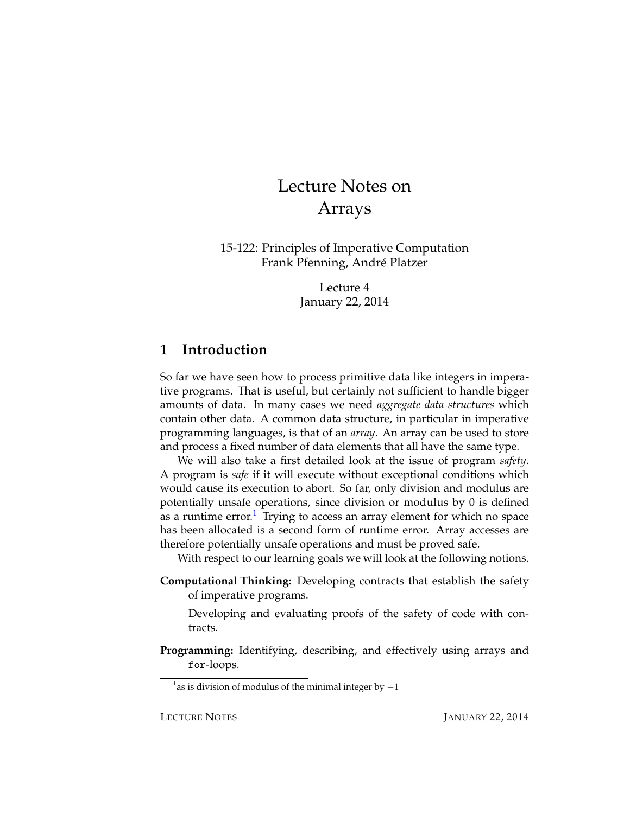# Lecture Notes on Arrays

15-122: Principles of Imperative Computation Frank Pfenning, Andre Platzer ´

> Lecture 4 January 22, 2014

# **1 Introduction**

So far we have seen how to process primitive data like integers in imperative programs. That is useful, but certainly not sufficient to handle bigger amounts of data. In many cases we need *aggregate data structures* which contain other data. A common data structure, in particular in imperative programming languages, is that of an *array*. An array can be used to store and process a fixed number of data elements that all have the same type.

We will also take a first detailed look at the issue of program *safety*. A program is *safe* if it will execute without exceptional conditions which would cause its execution to abort. So far, only division and modulus are potentially unsafe operations, since division or modulus by 0 is defined as a runtime error.<sup>[1](#page-0-0)</sup> Trying to access an array element for which no space has been allocated is a second form of runtime error. Array accesses are therefore potentially unsafe operations and must be proved safe.

With respect to our learning goals we will look at the following notions.

**Computational Thinking:** Developing contracts that establish the safety of imperative programs.

Developing and evaluating proofs of the safety of code with contracts.

**Programming:** Identifying, describing, and effectively using arrays and for-loops.

<span id="page-0-0"></span><sup>&</sup>lt;sup>1</sup> as is division of modulus of the minimal integer by  $-1$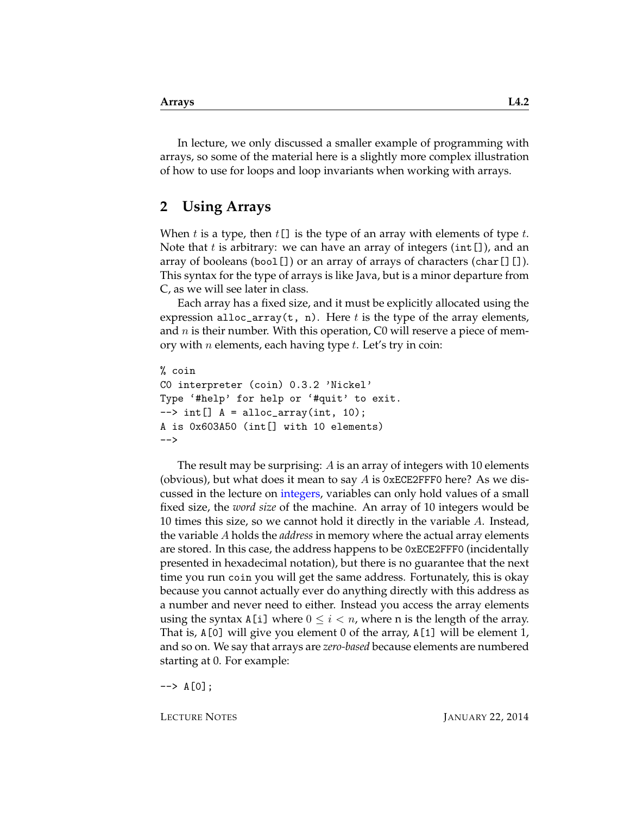In lecture, we only discussed a smaller example of programming with arrays, so some of the material here is a slightly more complex illustration of how to use for loops and loop invariants when working with arrays.

# **2 Using Arrays**

When t is a type, then  $t[]$  is the type of an array with elements of type  $t$ . Note that t is arbitrary: we can have an array of integers (int []), and an array of booleans (bool  $[]$ ) or an array of arrays of characters (char $[]$  $[]$ ). This syntax for the type of arrays is like Java, but is a minor departure from C, as we will see later in class.

Each array has a fixed size, and it must be explicitly allocated using the expression alloc\_array(t, n). Here t is the type of the array elements, and  $n$  is their number. With this operation, C0 will reserve a piece of memory with *n* elements, each having type  $t$ . Let's try in coin:

```
% coin
C0 interpreter (coin) 0.3.2 'Nickel'
Type '#help' for help or '#quit' to exit.
\left[-\right] int[] A = alloc_array(int, 10);
A is 0x603A50 (int[] with 10 elements)
--
```
The result may be surprising: A is an array of integers with 10 elements (obvious), but what does it mean to say  $A$  is 0xECE2FFF0 here? As we discussed in the lecture on [integers,](http://www.cs.cmu.edu/~rjsimmon/15122-m14/lec/02-ints.pdf) variables can only hold values of a small fixed size, the *word size* of the machine. An array of 10 integers would be 10 times this size, so we cannot hold it directly in the variable A. Instead, the variable A holds the *address* in memory where the actual array elements are stored. In this case, the address happens to be 0xECE2FFF0 (incidentally presented in hexadecimal notation), but there is no guarantee that the next time you run coin you will get the same address. Fortunately, this is okay because you cannot actually ever do anything directly with this address as a number and never need to either. Instead you access the array elements using the syntax A[i] where  $0 \leq i < n$ , where n is the length of the array. That is, A[0] will give you element 0 of the array, A[1] will be element 1, and so on. We say that arrays are *zero-based* because elements are numbered starting at 0. For example:

 $\leftarrow$  > A[0];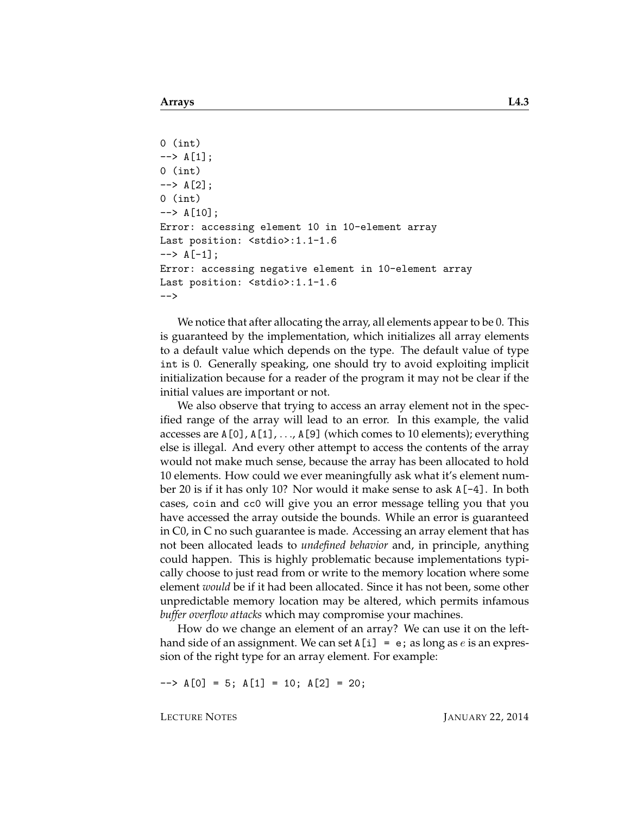```
0 (int)
\leftarrow > A[1];
0 (int)
\leftarrow > A[2];
0 (int)
\leftarrow > A[10];
Error: accessing element 10 in 10-element array
Last position: <stdio>:1.1-1.6
\leftarrow > A[-1];
Error: accessing negative element in 10-element array
Last position: <stdio>:1.1-1.6
-->
```
We notice that after allocating the array, all elements appear to be 0. This is guaranteed by the implementation, which initializes all array elements to a default value which depends on the type. The default value of type int is 0. Generally speaking, one should try to avoid exploiting implicit initialization because for a reader of the program it may not be clear if the initial values are important or not.

We also observe that trying to access an array element not in the specified range of the array will lead to an error. In this example, the valid accesses are A[0], A[1], . . ., A[9] (which comes to 10 elements); everything else is illegal. And every other attempt to access the contents of the array would not make much sense, because the array has been allocated to hold 10 elements. How could we ever meaningfully ask what it's element number 20 is if it has only 10? Nor would it make sense to ask A[-4]. In both cases, coin and cc0 will give you an error message telling you that you have accessed the array outside the bounds. While an error is guaranteed in C0, in C no such guarantee is made. Accessing an array element that has not been allocated leads to *undefined behavior* and, in principle, anything could happen. This is highly problematic because implementations typically choose to just read from or write to the memory location where some element *would* be if it had been allocated. Since it has not been, some other unpredictable memory location may be altered, which permits infamous *buffer overflow attacks* which may compromise your machines.

How do we change an element of an array? We can use it on the lefthand side of an assignment. We can set  $A[i] = e$ ; as long as e is an expression of the right type for an array element. For example:

 $\left[-\right]$   $\left[0\right]$  = 5; A[1] = 10; A[2] = 20;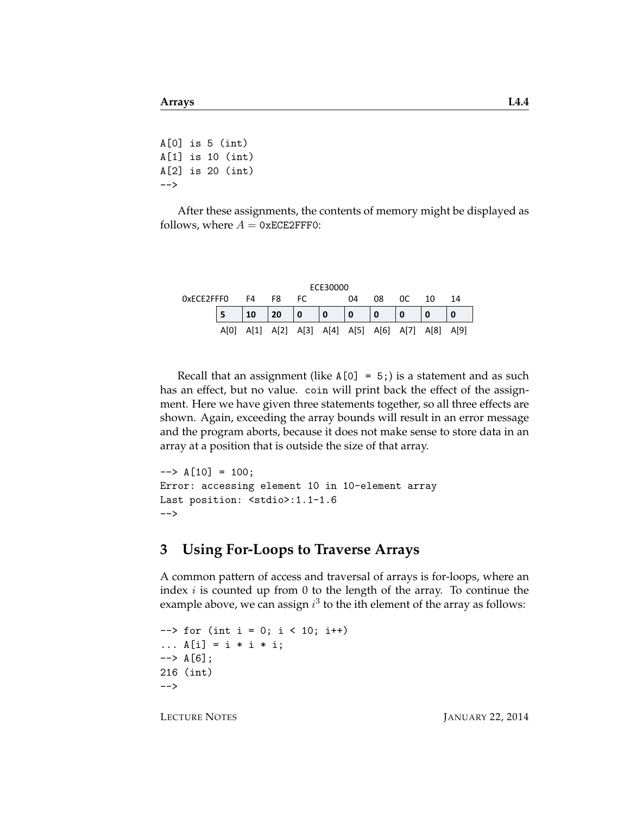$A[0]$  is 5 (int) A[1] is 10 (int) A[2] is 20 (int) -->

After these assignments, the contents of memory might be displayed as follows, where  $A = 0xECE2FFF0$ :

| ECE30000   |      |      |    |     |                                         |              |     |    |    |    |
|------------|------|------|----|-----|-----------------------------------------|--------------|-----|----|----|----|
| 0xECE2FFF0 |      | F4   | F8 | FC. |                                         | 04           | 08  | 0C | 10 | 14 |
|            |      | 10   | 20 | 10  |                                         | $\mathbf{0}$ | l 0 |    |    |    |
|            | AM01 | A[1] |    |     | A[2] A[3] A[4] A[5] A[6] A[7] A[8] A[9] |              |     |    |    |    |

Recall that an assignment (like  $A[0] = 5$ ;) is a statement and as such has an effect, but no value. coin will print back the effect of the assignment. Here we have given three statements together, so all three effects are shown. Again, exceeding the array bounds will result in an error message and the program aborts, because it does not make sense to store data in an array at a position that is outside the size of that array.

```
\left[-\right] \leftarrow \left[\right.10\right] = 100;
Error: accessing element 10 in 10-element array
Last position: <stdio>:1.1-1.6
-->
```
# **3 Using For-Loops to Traverse Arrays**

A common pattern of access and traversal of arrays is for-loops, where an index  $i$  is counted up from 0 to the length of the array. To continue the example above, we can assign  $i^3$  to the ith element of the array as follows:

```
\left(-\right) for (int i = 0; i < 10; i++)
... A[i] = i * i * i;\leftarrow > A[6];
216 (int)
-->
```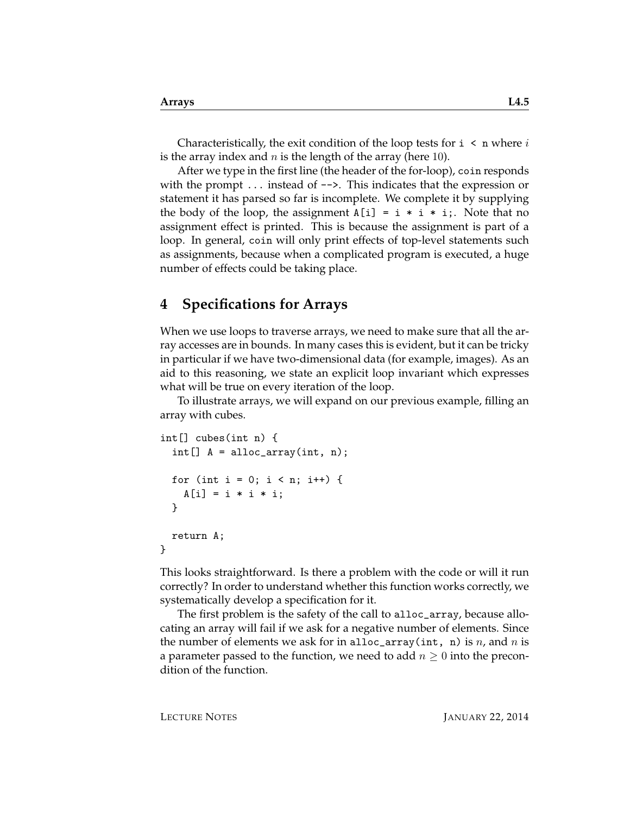Characteristically, the exit condition of the loop tests for  $i \lt n$  where i is the array index and  $n$  is the length of the array (here 10).

After we type in the first line (the header of the for-loop), coin responds with the prompt  $\dots$  instead of  $\rightarrow$ . This indicates that the expression or statement it has parsed so far is incomplete. We complete it by supplying the body of the loop, the assignment  $A[i] = i * i * i;$ . Note that no assignment effect is printed. This is because the assignment is part of a loop. In general, coin will only print effects of top-level statements such as assignments, because when a complicated program is executed, a huge number of effects could be taking place.

#### **4 Specifications for Arrays**

When we use loops to traverse arrays, we need to make sure that all the array accesses are in bounds. In many cases this is evident, but it can be tricky in particular if we have two-dimensional data (for example, images). As an aid to this reasoning, we state an explicit loop invariant which expresses what will be true on every iteration of the loop.

To illustrate arrays, we will expand on our previous example, filling an array with cubes.

```
int[] cubes(int n) {
  int[] A = alloc_array(int, n);for (int i = 0; i < n; i++) {
   A[i] = i * i * i;}
  return A;
}
```
This looks straightforward. Is there a problem with the code or will it run correctly? In order to understand whether this function works correctly, we systematically develop a specification for it.

The first problem is the safety of the call to alloc\_array, because allocating an array will fail if we ask for a negative number of elements. Since the number of elements we ask for in alloc\_array(int, n) is  $n$ , and  $n$  is a parameter passed to the function, we need to add  $n \geq 0$  into the precondition of the function.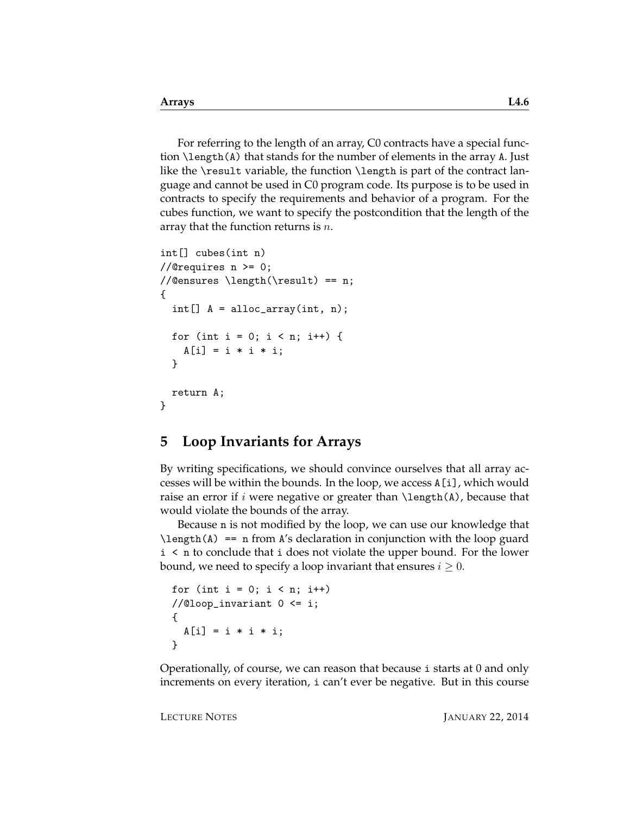For referring to the length of an array, C0 contracts have a special function \length(A) that stands for the number of elements in the array A. Just like the \result variable, the function \length is part of the contract language and cannot be used in C0 program code. Its purpose is to be used in contracts to specify the requirements and behavior of a program. For the cubes function, we want to specify the postcondition that the length of the array that the function returns is  $n$ .

```
int[] cubes(int n)
//@requires n \ge 0;
//@ensures \length(\result) == n;
{
  int[] A = alloc_array(int, n);for (int i = 0; i < n; i++) {
   A[i] = i * i * i;}
  return A;
}
```
#### **5 Loop Invariants for Arrays**

By writing specifications, we should convince ourselves that all array accesses will be within the bounds. In the loop, we access A[i], which would raise an error if i were negative or greater than  $\lambda$ ), because that would violate the bounds of the array.

Because n is not modified by the loop, we can use our knowledge that  $\lambda$  == n from A's declaration in conjunction with the loop guard i < n to conclude that i does not violate the upper bound. For the lower bound, we need to specify a loop invariant that ensures  $i \geq 0$ .

```
for (int i = 0; i < n; i++)//@loop_invariant 0 <= i;
{
 A[i] = i * i * i;}
```
Operationally, of course, we can reason that because i starts at 0 and only increments on every iteration, i can't ever be negative. But in this course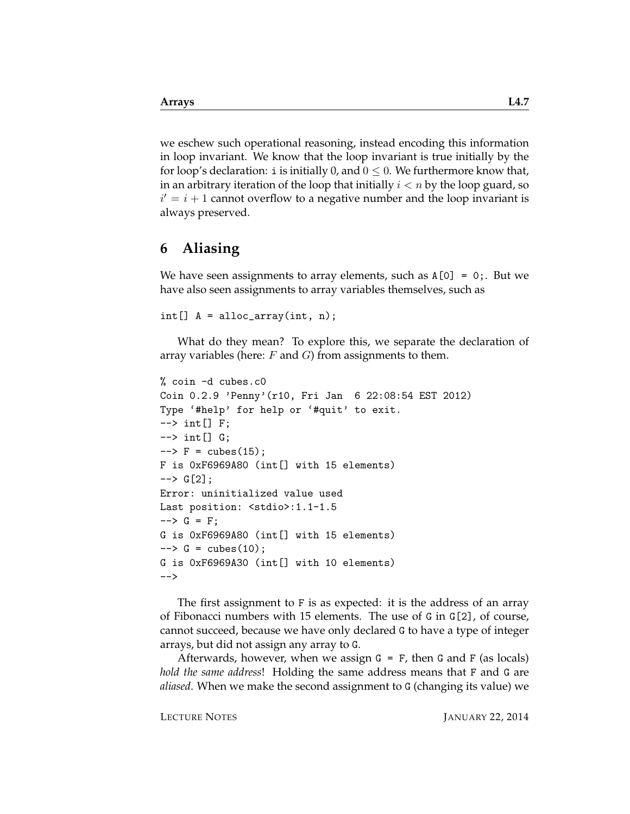we eschew such operational reasoning, instead encoding this information in loop invariant. We know that the loop invariant is true initially by the for loop's declaration: i is initially 0, and  $0 \le 0$ . We furthermore know that, in an arbitrary iteration of the loop that initially  $i < n$  by the loop guard, so  $i' = i + 1$  cannot overflow to a negative number and the loop invariant is always preserved.

#### **6 Aliasing**

We have seen assignments to array elements, such as  $A[0] = 0$ ;. But we have also seen assignments to array variables themselves, such as

 $int[] A = alloc_array(int, n);$ 

What do they mean? To explore this, we separate the declaration of array variables (here:  $F$  and  $G$ ) from assignments to them.

```
% coin -d cubes.c0
Coin 0.2.9 'Penny'(r10, Fri Jan 6 22:08:54 EST 2012)
Type '#help' for help or '#quit' to exit.
\left[-\right] \left[-\right] \left[\right] \left[\right]\left[-\right] \left[ \begin{array}{c} 0 \\ 0 \\ 0 \end{array} \right]\leftarrow > F = cubes(15);
F is 0xF6969A80 (int[] with 15 elements)
\leftarrow \left[\frac{2}{2}\right];
Error: uninitialized value used
Last position: <stdio>:1.1-1.5
--> G = F;G is 0xF6969A80 (int[] with 15 elements)
\leftarrow > G = \text{cubes}(10);
G is 0xF6969A30 (int[] with 10 elements)
-->
```
The first assignment to F is as expected: it is the address of an array of Fibonacci numbers with 15 elements. The use of  $G$  in  $G[2]$ , of course, cannot succeed, because we have only declared G to have a type of integer arrays, but did not assign any array to G.

Afterwards, however, when we assign  $G = F$ , then G and F (as locals) *hold the same address*! Holding the same address means that F and G are *aliased*. When we make the second assignment to G (changing its value) we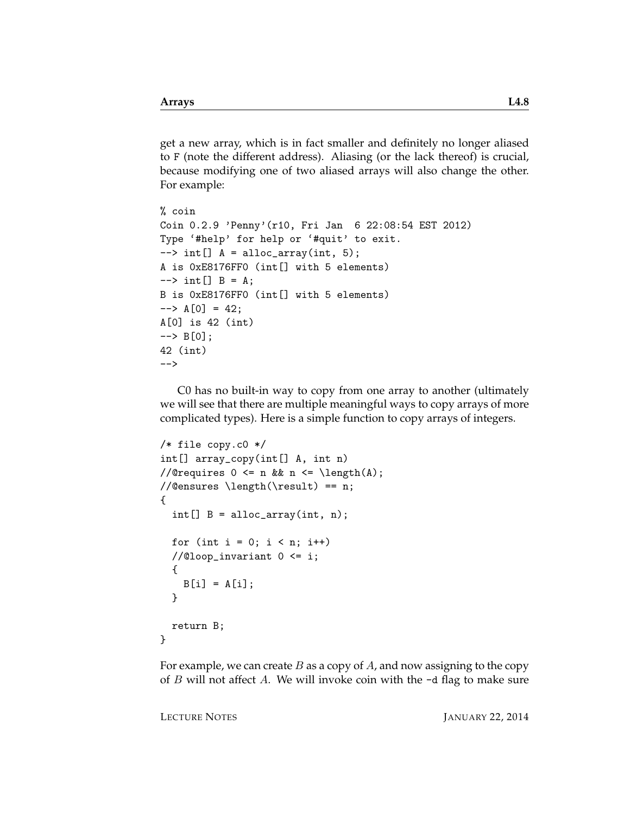get a new array, which is in fact smaller and definitely no longer aliased to F (note the different address). Aliasing (or the lack thereof) is crucial, because modifying one of two aliased arrays will also change the other. For example:

```
% coin
Coin 0.2.9 'Penny'(r10, Fri Jan 6 22:08:54 EST 2012)
Type '#help' for help or '#quit' to exit.
\left[-\right] int[] A = alloc_array(int, 5);
A is 0xE8176FF0 (int[] with 5 elements)
\left[-\right] B = A;
B is 0xE8176FF0 (int[] with 5 elements)
\left[-\right] \leftarrow \left[\right] \left[\right] \left[\right] \left[\right] \left[\right] \left[\right] \left[\right] \left[\right] \left[\right] \left[\right] \left[\right] \left[\right] \left[\right] \left[\right] \left[\right] \left[\right] \left[\right] \left[\right] \left[\right] \left[\right] \left[\right] \left[\right] \left[\right] \left[\right] \left[\right] \left[\right]A[0] is 42 (int)
\leftarrow > B[0]:
42 (int)
-->
```
C0 has no built-in way to copy from one array to another (ultimately we will see that there are multiple meaningful ways to copy arrays of more complicated types). Here is a simple function to copy arrays of integers.

```
/* file copy.c0 */
int[] array_copy(int[] A, int n)
//@requires 0 \leq n && n \leq \leq \lambda(1);
//@ensures \length(\result) == n;
{
  int[] B = alloc_array(int, n);for (int i = 0; i < n; i++)//@loop_invariant 0 <= i;
  {
    B[i] = A[i];}
  return B;
}
```
For example, we can create  $B$  as a copy of  $A$ , and now assigning to the copy of  $B$  will not affect  $A$ . We will invoke coin with the  $-d$  flag to make sure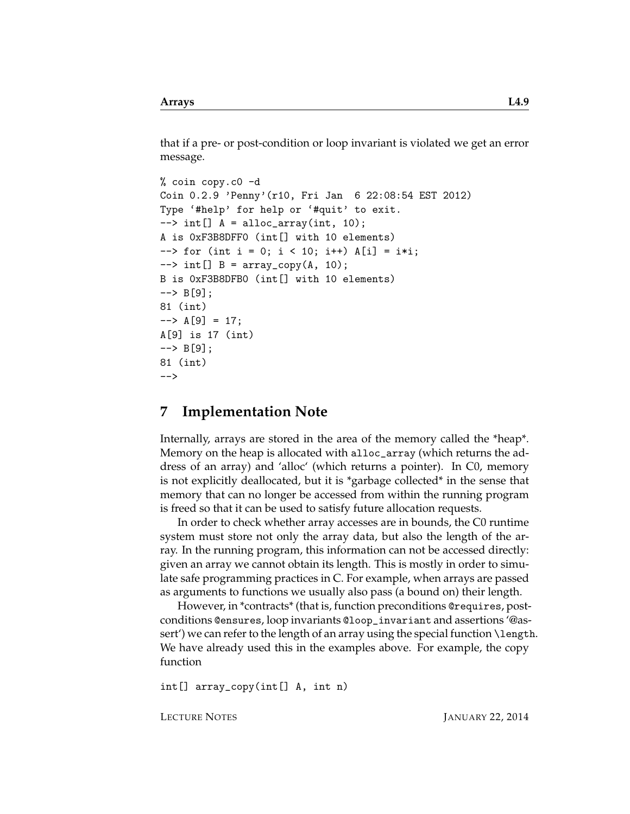that if a pre- or post-condition or loop invariant is violated we get an error message.

```
% coin copy.c0 -d
Coin 0.2.9 'Penny'(r10, Fri Jan 6 22:08:54 EST 2012)
Type '#help' for help or '#quit' to exit.
\left[-\right] int[] A = alloc_array(int, 10);
A is 0xF3B8DFF0 (int[] with 10 elements)
\Rightarrow for (int i = 0; i < 10; i++) A[i] = i*i;
\left[-\right] int[] B = array_copy(A, 10);
B is 0xF3B8DFB0 (int[] with 10 elements)
--> B[9];
81 (int)
--> A[9] = 17;A[9] is 17 (int)
\left[-\right] B[9];
81 (int)
-->
```
# **7 Implementation Note**

Internally, arrays are stored in the area of the memory called the \*heap\*. Memory on the heap is allocated with alloc\_array (which returns the address of an array) and 'alloc' (which returns a pointer). In C0, memory is not explicitly deallocated, but it is \*garbage collected\* in the sense that memory that can no longer be accessed from within the running program is freed so that it can be used to satisfy future allocation requests.

In order to check whether array accesses are in bounds, the C0 runtime system must store not only the array data, but also the length of the array. In the running program, this information can not be accessed directly: given an array we cannot obtain its length. This is mostly in order to simulate safe programming practices in C. For example, when arrays are passed as arguments to functions we usually also pass (a bound on) their length.

However, in \*contracts\* (that is, function preconditions @requires, postconditions @ensures, loop invariants @loop\_invariant and assertions '@assert') we can refer to the length of an array using the special function \length. We have already used this in the examples above. For example, the copy function

int[] array\_copy(int[] A, int n)